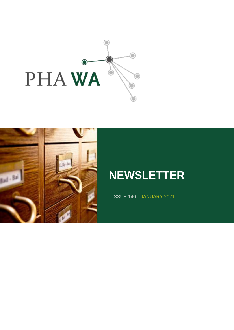



# **NEWSLETTER**

ISSUE 140 JANUARY 2021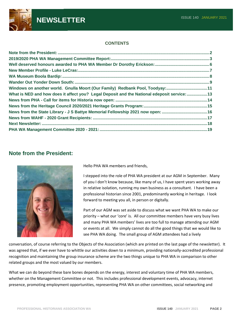

#### **CONTENTS**

| Windows on another world. Gnulla Moort (Our Family) Redbank Pool, Toodyay:11                 |  |
|----------------------------------------------------------------------------------------------|--|
| What is NED and how does it affect you? Legal Deposit and the National edeposit service:  13 |  |
|                                                                                              |  |
|                                                                                              |  |
| News from the State Library - J S Battye Memorial Fellowship 2021 now open: 16               |  |
|                                                                                              |  |
|                                                                                              |  |
|                                                                                              |  |

#### **Note from the President:**



Hello PHA WA members and friends,

I stepped into the role of PHA WA president at our AGM in September. Many of you I don't know because, like many of us, I have spent years working away in relative isolation, running my own business as a consultant. I have been a professional historian since 2001, predominantly working in heritage. I look forward to meeting you all, in person or digitally.

Part of our AGM was set aside to discuss what we want PHA WA to make our priority – what our 'core' is. All our committee members have very busy lives and many PHA WA members' lives are too full to manage attending our AGM or events at all. We simply cannot do all the good things that we would like to see PHA WA doing. The small group of AGM attendees had a lively

conversation, of course referring to the Objects of the Association (which are printed on the last page of the newsletter). It was agreed that, if we ever have to whittle our activities down to a minimum, providing nationally-accredited professional recognition and maintaining the group insurance scheme are the two things unique to PHA WA in comparison to other related groups and the most valued by our members.

What we can do beyond these bare bones depends on the energy, interest and voluntary time of PHA WA members, whether on the Management Committee or not. This includes professional development events, advocacy, internet presence, promoting employment opportunities, representing PHA WA on other committees, social networking and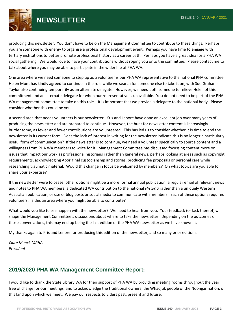

**NEWSLETTER ISSUE 140 JANUARY 2021** 

producing this newsletter. You don't have to be on the Management Committee to contribute to these things. Perhaps you are someone with energy to organise a professional development event. Perhaps you have time to engage with tertiary institutions to better promote professional history as a career path. Perhaps you have a great idea for a PHA WA social gathering. We would love to have your contributions without roping you onto the committee. Please contact me to talk about where you may be able to participate in the wider life of PHA WA.

One area where we need someone to step up as a volunteer is our PHA WA representative to the national PHA committee. Helen Munt has kindly agreed to continue in the role while we search for someone else to take it on, with Sue Graham-Taylor also continuing temporarily as an alternate delegate. However, we need both someone to relieve Helen of this commitment and an alternate delegate for when our representative is unavailable. You do not need to be part of the PHA WA management committee to take on this role. It is important that we provide a delegate to the national body. Please consider whether this could be you.

A second area that needs volunteers is our newsletter. Kris and Lenore have done an excellent job over many years of producing the newsletter and are prepared to continue. However, the hunt for newsletter content is increasingly burdensome, as fewer and fewer contributions are volunteered. This has led us to consider whether it is time to end the newsletter in its current form. Does the lack of interest in writing for the newsletter indicate this is no longer a particularly useful form of communication? If the newsletter is to continue, we need a volunteer specifically to source content and a willingness from PHA WA members to write for it. Management Committee has discussed focussing content more on issues that impact our work as professional historians rather than general news, perhaps looking at areas such as copyright requirements, acknowledging Aboriginal custodianship and stories, producing fee proposals or personal care while researching traumatic material. Would this change in focus be welcomed by members? On what topics are you able to share your expertise?

If the newsletter were to cease, other options might be a more formal annual publication, a regular email of relevant news and notes to PHA WA members, a dedicated WA contribution to the national *Historia* rather than a uniquely Western Australian publication, or use of blog posts or social media to communicate with members. Each of these options requires volunteers. Is this an area where you might be able to contribute?

What would you like to see happen with the newsletter? We need to hear from you. Your feedback (or lack thereof) will shape the Management Committee's discussions about where to take the newsletter. Depending on the outcomes of those conversations, this may end up being the last edition of the PHA WA newsletter as we have known it.

My thanks again to Kris and Lenore for producing this edition of the newsletter, and so many prior editions.

*Clare Menck MPHA President*

### **2019/2020 PHA WA Management Committee Report:**

I would like to thank the State Library WA for their support of PHA WA by providing meeting rooms throughout the year free of charge for our meetings, and to acknowledge the traditional owners, the Whadjuk people of the Noongar nation, of this land upon which we meet. We pay our respects to Elders past, present and future.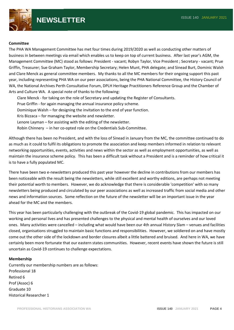

#### **Committee**

The PHA WA Management Committee has met four times during 2019/2020 as well as conducting other matters of business in between meetings via email which enables us to keep on top of current business. After last year's AGM, the Management Committee (MC) stood as follows: President - vacant; Robyn Taylor, Vice President ; Secretary - vacant; Prue Griffin, Treasurer; Sue Graham Taylor, Membership Secretary; Helen Munt, PHA delegate; and Sinead Burt, Dominic Walsh and Clare Menck as general committee members. My thanks to all the MC members for their ongoing support this past year, including representing PHA WA on our peer associations, being the PHA National Committee, the History Council of WA, the National Archives Perth Consultative Forum, DPLH Heritage Practitioners Reference Group and the Chamber of Arts and Culture WA. A special note of thanks to the following:

Clare Menck - for taking on the role of Secretary and updating the Register of Consultants. Prue Griffin - for again managing the annual insurance policy scheme. Dominique Walsh – for designing the invitation to the end of year function. Kris Bizzaca – for managing the website and newsletter. Lenore Layman – for assisting with the editing of the newsletter. Robin Chinnery – in her co-opted role on the Credentials Sub-Committee.

Although there has been no President, and with the loss of Sinead in January from the MC, the committee continued to do as much as it could to fulfil its obligations to promote the association and keep members informed in relation to relevant networking opportunities, events, activities and news within the sector as well as employment opportunities, as well as maintain the insurance scheme policy. This has been a difficult task without a President and is a reminder of how critical it is to have a fully populated MC.

There have been two e-newsletters produced this past year however the decline in contributions from our members has been noticeable with the result being the newsletters, while still excellent and worthy editions, are perhaps not meeting their potential worth to members. However, we do acknowledge that there is considerable 'competition' with so many newsletters being produced and circulated by our peer associations as well as increased traffic from social media and other news and information sources. Some reflection on the future of the newsletter will be an important issue in the year ahead for the MC and the members.

This year has been particularly challenging with the outbreak of the Covid-19 global pandemic. This has impacted on our working and personal lives and has presented challenges to the physical and mental health of ourselves and our loved ones. Many activities were cancelled – including what would have been our 4th annual History Slam – venues and facilities closed, organisations struggled to maintain basic functions and responsibilities. However, we soldiered on and have mostly come out the other side of the lockdown and border closures albeit a little battered and bruised. And here in WA, we have certainly been more fortunate that our eastern states communities. However, recent events have shown the future is still uncertain as Covid-19 continues to challenge expectations.

#### **Membership**

Currently our membership numbers are as follows: Professional 18 Retired 6 Prof (Assoc) 6 Graduate 10 Historical Researcher 1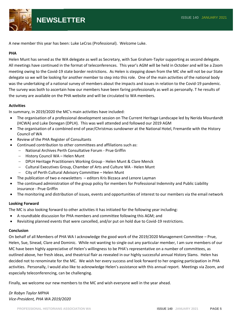

A new member this year has been: Luke LeCras (Professional). Welcome Luke.

#### **PHA**

Helen Munt has served as the WA delegate as well as Secretary, with Sue Graham-Taylor supporting as second delegate. All meetings have continued in the format of teleconferences. This year's AGM will be held in October and will be a Zoom meeting owing to the Covid-19 state border restrictions. As Helen is stepping down from the MC she will not be our State delegate so we will be looking for another member to step into this role. One of the main activities of the national body was the undertaking of a national survey of members about the impacts and issues in relation to the Covid-19 pandemic. The survey was both to ascertain how our members have been faring professionally as well as personally. T he results of the survey are available on the PHA website and will be circulated to WA members.

#### **Activities**

In summary, in 2019/2020 the MC's main activities have included:

- The organisation of a professional development session on The Current Heritage Landscape led by Nerida Mourdandt (HCWA) and Luke Donegan (DPLH). This was well attended and followed our 2019 AGM
- The organisation of a combined end of year/Christmas sundowner at the National Hotel, Fremantle with the History Council of WA
- Review of the PHA Register of Consultants
- Continued contribution to other committees and affiliations such as:
	- − National Archives Perth Consultative Forum Prue Griffin
	- − History Council WA Helen Munt
	- − DPLH Heritage Practitioners Working Group Helen Munt & Clare Menck
	- − Cultural Executives Group, Chamber of Arts and Culture WA Helen Munt
	- − City of Perth Cultural Advisory Committee Helen Munt
- The publication of two e-newsletters editors Kris Bizzaca and Lenore Layman
- The continued administration of the group policy for members for Professional Indemnity and Public Liability insurance - Prue Griffin
- The monitoring and distribution of issues, events and opportunities of interest to our members via the email network

#### **Looking Forward**

The MC is also looking forward to other activities it has initiated for the following year including:

- A roundtable discussion for PHA members and committee following this AGM; and
- Revisiting planned events that were cancelled, and/or put on hold due to Covid-19 restrictions.

#### **Conclusion**

On behalf of all Members of PHA WA I acknowledge the good work of the 2019/2020 Management Committee – Prue, Helen, Sue, Sinead, Clare and Dominic. While not wanting to single out any particular member, I am sure members of our MC have been highly appreciative of Helen's willingness to be PHA's representative on a number of committees, as outlined above, her fresh ideas, and theatrical flair as revealed in our highly successful annual History Slams. Helen has decided not to renominate for the MC. We wish her every success and look forward to her ongoing participation in PHA activities. Personally, I would also like to acknowledge Helen's assistance with this annual report. Meetings via Zoom, and especially teleconferencing, can be challenging.

Finally, we welcome our new members to the MC and wish everyone well in the year ahead.

*Dr Robyn Taylor MPHA Vice-President, PHA WA 2019/2020*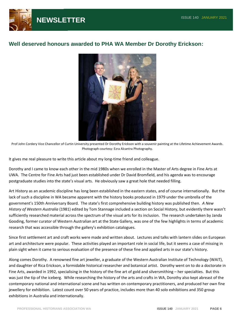

### **Well deserved honours awarded to PHA WA Member Dr Dorothy Erickson:**



Prof John Cordery Vice Chancellor of Curtin University presented Dr Dorothy Erickson with a souvenir painting at the Lifetime Achievement Awards. Photograph courtesy: Ezra Alcantra Photography.

It gives me real pleasure to write this article about my long-time friend and colleague.

Dorothy and I came to know each other in the mid 1980s when we enrolled in the Master of Arts degree in Fine Arts at UWA. The Centre for Fine Arts had just been established under Dr David Bromfield, and his agenda was to encourage postgraduate studies into the state's visual arts. He obviously saw a great hole that needed filling.

Art History as an academic discipline has long been established in the eastern states, and of course internationally. But the lack of such a discipline in WA became apparent with the history books produced in 1979 under the umbrella of the government's 150th Anniversary Board. The state's first comprehensive building history was published then. *A New History of Western Australia* (1981) edited by Tom Stannage included a section on Social History, but evidently there wasn't sufficiently researched material across the spectrum of the visual arts for its inclusion. The research undertaken by Janda Gooding, former curator of Western Australian art at the State Gallery, was one of the few highlights in terms of academic research that was accessible through the gallery's exhibition catalogues.

Since first settlement art and craft works were made and written about. Lectures and talks with lantern slides on European art and architecture were popular. These activities played an important role in social life, but it seems a case of missing in plain sight when it came to serious evaluation of the presence of these fine and applied arts in our state's history.

Along comes Dorothy. A renowned fine art jeweller, a graduate of the Western Australian Institute of Technology (WAIT), and daughter of Rica Erickson, a formidable historical researcher and botanical artist. Dorothy went on to do a doctorate in Fine Arts, awarded in 1992, specialising in the history of the fine art of gold and silversmithing – her specialties. But this was just the tip of the iceberg. While researching the history of the arts and crafts in WA, Dorothy also kept abreast of the contemporary national and international scene and has written on contemporary practitioners, and produced her own fine jewellery for exhibition. Latest count over 50 years of practice, includes more than 40 solo exhibitions and 350 group exhibitions in Australia and internationally.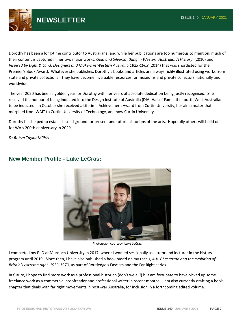

Dorothy has been a long-time contributor to Australiana, and while her publications are too numerous to mention, much of their content is captured in her two major works, *Gold and Silversmithing in Western Australia: A History*, (2010) and *Inspired by Light & Land. Designers and Makers in Western Australia 1829-1969* (2014) that was shortlisted for the Premier's Book Award. Whatever she publishes, Dorothy's books and articles are always richly illustrated using works from state and private collections. They have become invaluable resources for museums and private collectors nationally and worldwide.

The year 2020 has been a golden year for Dorothy with her years of absolute dedication being justly recognised. She received the honour of being inducted into the Design Institute of Australia (DIA) Hall of Fame, the fourth West Australian to be inducted. In October she received a Lifetime Achievement Award from Curtin University, her alma mater that morphed from WAIT to Curtin University of Technology, and now Curtin University.

Dorothy has helped to establish solid ground for present and future historians of the arts. Hopefully others will build on it for WA's 200th anniversary in 2029.

*Dr Robyn Taylor MPHA*



### **New Member Profile - Luke LeCras:**

Photograph courtesy: Luke LeCras.

I completed my PhD at Murdoch University in 2017, where I worked sessionally as a tutor and lecturer in the history program until 2019. Since then, I have also published a book based on my thesis, *A.K. Chesterton and the evolution of Britain's extreme right, 1933-1973*, as part of Routledge's Fascism and the Far Right series.

In future, I hope to find more work as a professional historian (don't we all!) but am fortunate to have picked up some freelance work as a commercial proofreader and professional writer in recent months. I am also currently drafting a book chapter that deals with far right movements in post-war Australia, for inclusion in a forthcoming edited volume.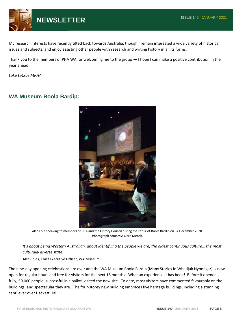

My research interests have recently tilted back towards Australia, though I remain interested a wide variety of historical issues and subjects, and enjoy assisting other people with research and writing history in all its forms.

Thank you to the members of PHA WA for welcoming me to the group — I hope I can make a positive contribution in the year ahead.

*Luke LeCras MPHA*

### **WA Museum Boola Bardip:**



Alec Cole speaking to members of PHA and the History Council during their tour of Boola Bardip on 14 December 2020. Photograph courtesy: Clare Menck.

*It's about being Western Australian, about identifying the people we are, the oldest continuous culture… the most culturally diverse state*.

Alec Coles, Chief Executive Officer, WA Museum

The nine-day opening celebrations are over and the WA Museum Boola Bardip (Many Stories in Whadjuk Nyoongar) is now open for regular hours and free for visitors for the next 18 months. What an experience it has been! Before it opened fully, 50,000 people, successful in a ballot, visited the new site. To date, most visitors have commented favourably on the buildings; and spectacular they are. The four-storey new building embraces five heritage buildings, including a stunning cantilever over Hackett Hall.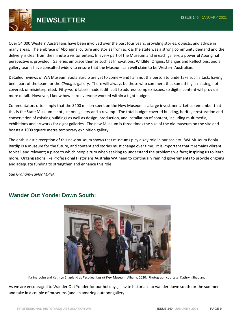

## **NEWSLETTER ISSUE 140 JANUARY 2021**

Over 54,000 Western Australians have been involved over the past four years, providing stories, objects, and advice in many areas. The embrace of Aboriginal culture and stories from across the state was a strong community demand and the delivery is clear from the minute a visitor enters. In every part of the Museum and in each gallery, a powerful Aboriginal perspective is provided. Galleries embrace themes such as Innovations, Wildlife, Origins, Changes and Reflections, and all gallery teams have consulted widely to ensure that the Museum can well claim to be Western Australian.

Detailed reviews of WA Museum Boola Bardip are yet to come – and I am not the person to undertake such a task, having been part of the team for the *Changes* gallery. There will always be those who comment that something is missing, not covered, or misinterpreted. Fifty-word labels made it difficult to address complex issues, so digital content will provide more detail. However, I know how hard everyone worked within a tight budget.

Commentators often imply that the \$400 million spent on the New Museum is a large investment. Let us remember that this is the State Museum – not just one gallery and a revamp! The total budget covered building, heritage restoration and conservation of existing buildings as well as design, production, and installation of content, including multimedia, exhibitions and artworks for eight galleries. The new Museum is three times the size of the old museum on the site and boasts a 1000 square metre temporary exhibition gallery.

The enthusiastic reception of this new museum shows that museums play a key role in our society. WA Museum Boola Bardip is a museum for the future, and content and stories must change over time. It is important that it remains vibrant, topical, and relevant; a place to which people turn when seeking to understand the problems we face; inspiring us to learn more. Organisations like Professional Historians Australia WA need to continually remind governments to provide ongoing and adequate funding to strengthen and enhance this role.

*Sue Graham-Taylor MPHA*



### **Wander Out Yonder Down South:**

Karina, John and Kathryn Shapland at *Recollections of War* Museum, Albany, 2020. Photograph courtesy: Kathryn Shapland.

As we are encouraged to Wander Out Yonder for our holidays, I invite historians to wander down south for the summer and take in a couple of museums (and an amazing outdoor gallery).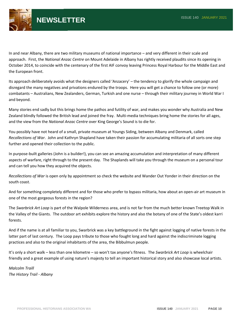

In and near Albany, there are two military museums of national importance – and very different in their scale and approach. First, the *National Anzac Centre* on Mount Adelaide in Albany has rightly received plaudits since its opening in October 2014, to coincide with the centenary of the first AIF convoy leaving Princess Royal Harbour for the Middle East and the European front.

Its approach deliberately avoids what the designers called 'Anzacery' – the tendency to glorify the whole campaign and disregard the many negatives and privations endured by the troops. Here you will get a chance to follow one (or more) combatants – Australians, New Zealanders, German, Turkish and one nurse – through their military journey in World War I and beyond.

Many stories end sadly but this brings home the pathos and futility of war, and makes you wonder why Australia and New Zealand blindly followed the British lead and joined the fray. Multi-media techniques bring home the stories for all ages, and the view from the *National Anzac Centre* over King George's Sound is to die for.

You possibly have not heard of a small, private museum at Youngs Siding, between Albany and Denmark, called *Recollections of War*. John and Kathryn Shapland have taken their passion for accumulating militaria of all sorts one step further and opened their collection to the public.

In purpose-built galleries (John is a builder!), you can see an amazing accumulation and interpretation of many different aspects of warfare, right through to the present day. The Shaplands will take you through the museum on a personal tour and can tell you how they acquired the objects.

*Recollections of War* is open only by appointment so check the website and Wander Out Yonder in their direction on the south coast.

And for something completely different and for those who prefer to bypass militaria, how about an open-air art museum in one of the most gorgeous forests in the region?

The *Swarbrick Art Loop* is part of the Walpole Wilderness area, and is not far from the much better known Treetop Walk in the Valley of the Giants. The outdoor art exhibits explore the history and also the botany of one of the State's oldest karri forests.

And if the name is at all familiar to you, Swarbrick was a key battleground in the fight against logging of native forests in the latter part of last century. The Loop pays tribute to those who fought long and hard against the indiscriminate logging practices and also to the original inhabitants of the area, the Bibbulmun people.

It's only a short walk – less than one kilometre – so won't tax anyone's fitness. The *Swarbrick Art Loop* is wheelchair friendly and a great example of using nature's majesty to tell an important historical story and also showcase local artists.

*Malcolm Traill The History Trail - Albany*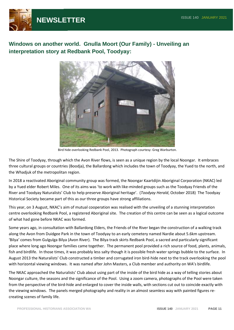

**Windows on another world. Gnulla Moort (Our Family) - Unveiling an interpretation story at Redbank Pool, Toodyay:**



Bird hide overlooking Redbank Pool, 2013. Photograph courtesy: Greg Warburton.

The Shire of Toodyay, through which the Avon River flows, is seen as a unique region by the local Noongar. It embraces three cultural groups or countries (Boodja), the Ballardong which includes the town of Toodyay, the Yued to the north, and the Whadjuk of the metropolitan region.

In 2018 a reactivated Aboriginal community group was formed, the Noongar Kaartdijin Aboriginal Corporation (NKAC) led by a Yued elder Robert Miles. One of its aims was 'to work with like-minded groups such as the Toodyay Friends of the River and Toodyay Naturalists' Club to help preserve Aboriginal heritage'. (*Toodyay Herald*, October 2018) The Toodyay Historical Society became part of this as our three groups have strong affiliations.

This year, on 3 August, NKAC's aim of mutual cooperation was realised with the unveiling of a stunning interpretation centre overlooking Redbank Pool, a registered Aboriginal site. The creation of this centre can be seen as a logical outcome of what had gone before NKAC was formed.

Some years ago, in consultation with Ballardong Elders, the Friends of the River began the construction of a walking track along the Avon from Duidgee Park in the town of Toodyay to an early cemetery named Nardie about 5.6km upstream. 'Bilya' comes from Gulgulga Bilya (Avon River). The Bilya track skirts Redbank Pool, a sacred and particularly significant place where long ago Noongar families came together. The permanent pool provided a rich source of food, plants, animals, fish and birdlife. In those times, it was probably less salty though it is possible fresh water springs bubble to the surface. In August 2013 the Naturalists' Club constructed a timber and corrugated iron bird-hide next to the track overlooking the pool with horizontal viewing windows. It was named after John Masters, a Club member and authority on WA's birdlife.

The NKAC approached the Naturalists' Club about using part of the inside of the bird hide as a way of telling stories about Noongar culture, the seasons and the significance of the Pool. Using a zoom camera, photographs of the Pool were taken from the perspective of the bird-hide and enlarged to cover the inside walls, with sections cut out to coincide exactly with the viewing windows. The panels merged photography and reality in an almost seamless way with painted figures recreating scenes of family life.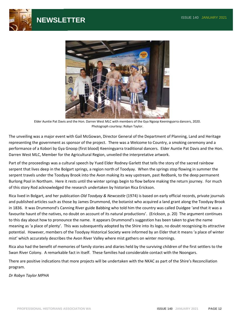





Elder Auntie Pat Davis and the Hon. Darren West MLC with members of the Gya Ngoop Keeningyarra dancers, 2020. Photograph courtesy: Robyn Taylor.

The unveiling was a major event with Gail McGowan, Director General of the Department of Planning, Land and Heritage representing the government as sponsor of the project. There was a Welcome to Country, a smoking ceremony and a performance of a Kobori by Gya Gnoop (first blood) Keeningyarra traditional dancers. Elder Auntie Pat Davis and the Hon. Darren West MLC, Member for the Agricultural Region, unveiled the interpretative artwork.

Part of the proceedings was a cultural speech by Yued Elder Rodney Garlett that tells the story of the sacred rainbow serpent that lives deep in the Bolgart springs, a region north of Toodyay. When the springs stop flowing in summer the serpent travels under the Toodyay Brook into the Avon making its way upstream, past Redbank, to the deep permanent Burlong Pool in Northam. Here it rests until the winter springs begin to flow before making the return journey. For much of this story Rod acknowledged the research undertaken by historian Rica Erickson.

Rica lived in Bolgart, and her publication *Old Toodyay & Newcastle* (1974) is based on early official records, private journals and published articles such as those by James Drummond, the botanist who acquired a land grant along the Toodyay Brook in 1836. It was Drummond's Canning River guide Babbing who told him the country was called Duidgee 'and that it was a favourite haunt of the natives, no doubt on account of its natural productions'. (Erickson, p. 20) The argument continues to this day about how to pronounce the name. It appears Drummond's suggestion has been taken to give the name meaning as 'a place of plenty'. This was subsequently adopted by the Shire into its logo, no doubt recognising its attractive potential. However, members of the Toodyay Historical Society were informed by an Elder that it means 'a place of winter mist' which accurately describes the Avon River Valley where mist gathers on winter mornings.

Rica also had the benefit of memories of family stories and diaries held by the surviving children of the first settlers to the Swan River Colony. A remarkable fact in itself. These families had considerable contact with the Noongars.

There are positive indications that more projects will be undertaken with the NKAC as part of the Shire's Reconciliation program.

*Dr Robyn Taylor MPHA*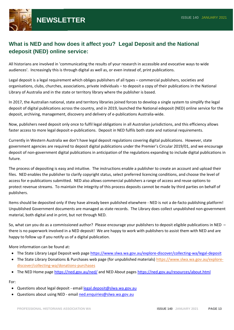

### **What is NED and how does it affect you? Legal Deposit and the National edeposit (NED) online service:**

All historians are involved in 'communicating the results of your research in accessible and evocative ways to wide audiences'. Increasingly this is through digital as well as, or even instead of, print publications.

Legal deposit is a legal requirement which obliges publishers of all types – commercial publishers, societies and organisations, clubs, churches, associations, private individuals – to deposit a copy of their publications in the National Library of Australia and in the state or territory library where the publisher is based.

In 2017, the Australian national, state and territory libraries joined forces to develop a single system to simplify the legal deposit of digital publications across the country, and in 2019, launched the National edeposit (NED) online service for the deposit, archiving, management, discovery and delivery of e-publications Australia-wide.

Now, publishers need deposit only once to fulfil legal obligations in all Australian jurisdictions, and this efficiency allows faster access to more legal deposit e-publications. Deposit in NED fulfils both state and national requirements.

Currently in Western Australia we don't have legal deposit regulations covering digital publications. However, state government agencies are required to deposit digital publications under the Premier's Circular 2019/01, and we encourage deposit of non-government digital publications in anticipation of the regulations expanding to include digital publications in future.

The process of depositing is easy and intuitive. The instructions enable a publisher to create an account and upload their files. NED enables the publisher to clarify copyright status, select preferred licencing conditions, and choose the level of access for e-publications submitted. NED also allows commercial publishers a range of access and reuse options to protect revenue streams. To maintain the integrity of this process deposits cannot be made by third parties on behalf of publishers.

Items should be deposited only if they have already been published elsewhere - NED is not a de-facto publishing platform! Unpublished Government documents are managed as state records. The Library does collect unpublished non-government material, both digital and in print, but not through NED.

So, what can you do as a commissioned author? Please encourage your publishers to deposit eligible publications in NED – there is no paperwork involved in a NED deposit! We are happy to work with publishers to assist them with NED and are happy to follow up if you notify us of a digital publication.

More information can be found at:

- The State Library Legal Deposit web page [https://www.slwa.wa.gov.au/explore-discover/collecting-wa/legal-deposit](https://aus01.safelinks.protection.outlook.com/?url=https%3A%2F%2Fwww.slwa.wa.gov.au%2Fexplore-discover%2Fcollecting-wa%2Flegal-deposit&data=04%7C01%7Cned.enquiries%40slwa.wa.gov.au%7C4c45c48dfb3d4908315f08d88c61ca91%7Cc1ae0ae2d5044287b6f47eafd6648d22%7C0%7C0%7C637413698943523901%7CUnknown%7CTWFpbGZsb3d8eyJWIjoiMC4wLjAwMDAiLCJQIjoiV2luMzIiLCJBTiI6Ik1haWwiLCJXVCI6Mn0%3D%7C1000&sdata=xBiP%2F7yj8ZEtLnz6RnWWvMg%2BAMw%2F4Zarkj6AuCwnbDQ%3D&reserved=0)
- The State Library Donations & Purchases web page (for unpublished materials) [https://www.slwa.wa.gov.au/explore](https://www.slwa.wa.gov.au/explore-discover/collecting-wa/donations-purchases)[discover/collecting-wa/donations-purchases](https://www.slwa.wa.gov.au/explore-discover/collecting-wa/donations-purchases)
- The NED Home page [https://ned.gov.au/ned/](https://aus01.safelinks.protection.outlook.com/?url=https%3A%2F%2Fned.gov.au%2Fned%2F&data=04%7C01%7Cned.enquiries%40slwa.wa.gov.au%7C4c45c48dfb3d4908315f08d88c61ca91%7Cc1ae0ae2d5044287b6f47eafd6648d22%7C0%7C0%7C637413698943533892%7CUnknown%7CTWFpbGZsb3d8eyJWIjoiMC4wLjAwMDAiLCJQIjoiV2luMzIiLCJBTiI6Ik1haWwiLCJXVCI6Mn0%3D%7C1000&sdata=AM3oyrtpaIMnmhokOBSUgF3F1Jge8KxewKMAbFgLfN8%3D&reserved=0) and NED About pages [https://ned.gov.au/resources/about.html](https://aus01.safelinks.protection.outlook.com/?url=https%3A%2F%2Fned.gov.au%2Fresources%2Fabout.html&data=04%7C01%7Cned.enquiries%40slwa.wa.gov.au%7C4c45c48dfb3d4908315f08d88c61ca91%7Cc1ae0ae2d5044287b6f47eafd6648d22%7C0%7C0%7C637413698943533892%7CUnknown%7CTWFpbGZsb3d8eyJWIjoiMC4wLjAwMDAiLCJQIjoiV2luMzIiLCJBTiI6Ik1haWwiLCJXVCI6Mn0%3D%7C1000&sdata=JXW6LX7jzBM88KcdpRRvu3KFERO0AYwvHFaAXrL1f7k%3D&reserved=0)

For:

- Questions about legal deposit email [legal.deposit@slwa.wa.gov.au](mailto:legal.deposit@slwa.wa.gov.au)
- Questions about using NED emai[l ned.enquiries@slwa.wa.gov.au](mailto:ned.enquiries@slwa.wa.gov.au)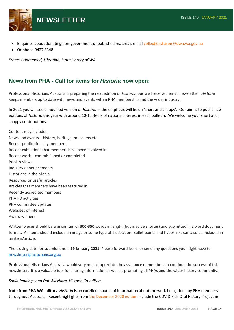

- Enquiries about donating non-government unpublished materials emai[l collection.liason@slwa.wa.gov.au](mailto:collection.liason@slwa.wa.gov.au)
- Or phone 9427 3348

*Frances Hammond, Librarian, State Library of WA*

### **News from PHA - Call for items for** *Historia* **now open:**

Professional Historians Australia is preparing the next edition of *Historia*, our well received email newsletter. *Historia* keeps members up to date with news and events within PHA membership and the wider industry.

In 2021 you will see a modified version of *Historia* – the emphasis will be on 'short and snappy'. Our aim is to publish six editions of *Historia* this year with around 10-15 items of national interest in each bulletin. We welcome your short and snappy contributions.

Content may include: News and events – history, heritage, museums etc Recent publications by members Recent exhibitions that members have been involved in Recent work – commissioned or completed Book reviews Industry announcements Historians in the Media Resources or useful articles Articles that members have been featured in Recently accredited members PHA PD activities PHA committee updates Websites of interest Award winners

Written pieces should be a maximum of **300-350** words in length (but may be shorter) and submitted in a word document format. All items should include an image or some type of illustration. Bullet points and hyperlinks can also be included in an item/article.

The closing date for submissions is **29 January 2021**. Please forward items or send any questions you might have to [newsletter@historians.org.au](mailto:newsletter@historians.org.au)

Professional Historians Australia would very much appreciate the assistance of members to continue the success of this newsletter. It is a valuable tool for sharing information as well as promoting all PHAs and the wider history community.

#### *Sonia Jennings and Dot Wickham, Historia Co-editors*

**Note from PHA WA editors:** *Historia* is an excellent source of information about the work being done by PHA members throughout Australia. Recent highlights from [the December 2020 edition](http://acpha.cmail19.com/t/ViewEmail/r/948B7CA6E60272592540EF23F30FEDED/0F5E5C9D640E9B9E2438807772DD75D1) include the COVID Kids Oral History Project in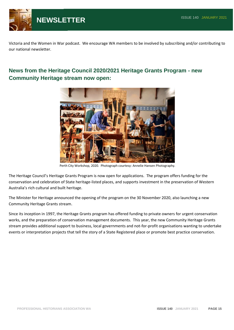

Victoria and the Women in War podcast. We encourage WA members to be involved by subscribing and/or contributing to our national newsletter.

### **News from the Heritage Council 2020/2021 Heritage Grants Program - new Community Heritage stream now open:**



Perth City Workshop, 2020. Photograph courtesy: Annelie Hansen Photography.

The Heritage Council's Heritage Grants Program is now open for applications. The program offers funding for the conservation and celebration of State heritage-listed places, and supports investment in the preservation of Western Australia's rich cultural and built heritage.

The Minister for Heritage announced the opening of the program on the 30 November 2020, also launching a new Community Heritage Grants stream.

Since its inception in 1997, the Heritage Grants program has offered funding to private owners for urgent conservation works, and the preparation of conservation management documents. This year, the new Community Heritage Grants stream provides additional support to business, local governments and not-for-profit organisations wanting to undertake events or interpretation projects that tell the story of a State Registered place or promote best practice conservation.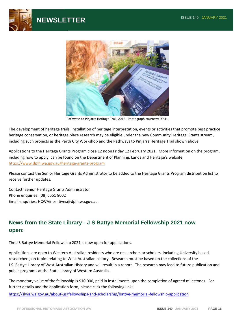



Pathways to Pinjarra Heritage Trail, 2016. Photograph courtesy: DPLH.

The development of heritage trails, installation of heritage interpretation, events or activities that promote best practice heritage conservation, or heritage place research may be eligible under the new Community Heritage Grants stream, including such projects as the Perth City Workshop and the Pathways to Pinjarra Heritage Trail shown above.

Applications to the Heritage Grants Program close 12 noon Friday 12 February 2021. More information on the program, including how to apply, can be found on the Department of Planning, Lands and Heritage's website: <https://www.dplh.wa.gov.au/heritage-grants-program>

Please contact the Senior Heritage Grants Administrator to be added to the Heritage Grants Program distribution list to receive further updates.

Contact: Senior Heritage Grants Administrator Phone enquiries: (08) 6551 8002 Email enquiries: HCWAincentives@dplh.wa.gov.au

### **News from the State Library - J S Battye Memorial Fellowship 2021 now open:**

The J S Battye Memorial Fellowship 2021 is now open for applications.

Applications are open to Western Australian residents who are researchers or scholars, including University based researchers, on topics relating to West Australian history. Research must be based on the collections of the J.S. Battye Library of West Australian History and will result in a report. The research may lead to future publication and public programs at the State Library of Western Australia.

The monetary value of the fellowship is \$10,000, paid in installments upon the completion of agreed milestones. For further details and the application form, please click the following link:  

<https://slwa.wa.gov.au/about-us/fellowships-and-scholarship/battye-memorial-fellowship-application>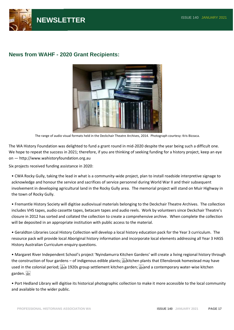

### **News from WAHF - 2020 Grant Recipients:**



The range of audio visual formats held in the Deckchair Theatre Archives, 2014. Photograph courtesy: Kris Bizzaca.

The WA History Foundation was delighted to fund a grant round in mid-2020 despite the year being such a difficult one. We hope to repeat the success in 2021; therefore, if you are thinking of seeking funding for a history project, keep an eye on — http://www.wahistoryfoundation.org.au

Six projects received funding assistance in 2020:

• CWA Rocky Gully, taking the lead in what is a community-wide project, plan to install roadside interpretive signage to acknowledge and honour the service and sacrifices of service personnel during World War II and their subsequent involvement in developing agricultural land in the Rocky Gully area. The memorial project will stand on Muir Highway in the town of Rocky Gully.

• Fremantle History Society will digitise audiovisual materials belonging to the Deckchair Theatre Archives. The collection includes VHS tapes, audio cassette tapes, betacam tapes and audio reels. Work by volunteers since Deckchair Theatre's closure in 2012 has sorted and collated the collection to create a comprehensive archive. When complete the collection will be deposited in an appropriate institution with public access to the material.

• Geraldton Libraries Local History Collection will develop a local history education pack for the Year 3 curriculum. The resource pack will provide local Aboriginal history information and incorporate local elements addressing all Year 3 HASS History Australian Curriculum enquiry questions.

• Margaret River Independent School's project 'Nyindamurra Kitchen Gardens' will create a living regional history through the construction of four gardens – of indigenous edible plants; kitchen plants that Ellensbrook homestead may have used in the colonial period;  $\frac{177}{35}$  1920s group settlement kitchen garden;  $\frac{177}{35}$  and a contemporary water-wise kitchen garden.

• Port Hedland Library will digitise its historical photographic collection to make it more accessible to the local community and available to the wider public.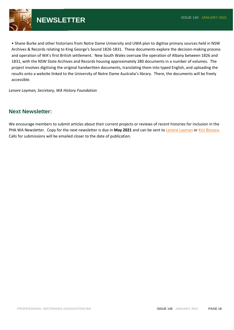

• Shane Burke and other historians from Notre Dame University and UWA plan to digitise primary sources held in NSW Archives & Records relating to King George's Sound 1826-1831. These documents explore the decision-making process and operation of WA's first British settlement. New South Wales oversaw the operation of Albany between 1826 and 1831, with the NSW State Archives and Records housing approximately 280 documents in a number of volumes. The project involves digitising the original handwritten documents, translating them into typed English, and uploading the results onto a website linked to the University of Notre Dame Australia's library. There, the documents will be freely accessible.

*Lenore Layman, Secretary, WA History Foundation*

#### **Next Newsletter:**

We encourage members to submit articles about their current projects or reviews of recent histories for inclusion in the PHA WA Newsletter. Copy for the next newsletter is due in **May 2021** and can be sent to [Lenore Layman](mailto:layman@westnet.com.au?subject=PHA%20(WA)%20Newsletter) or [Kris Bizzaca.](mailto:kristybizzaca@bigpond.com?subject=PHA%20(WA)%20Newsletter) Calls for submissions will be emailed closer to the date of publication.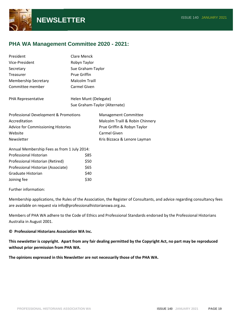

### **PHA WA Management Committee 2020 - 2021:**

| President                                   | Clare Menck           |                                 |  |
|---------------------------------------------|-----------------------|---------------------------------|--|
| Vice-President                              | Robyn Taylor          |                                 |  |
| Secretary                                   | Sue Graham-Taylor     |                                 |  |
| Treasurer                                   | <b>Prue Griffin</b>   |                                 |  |
| <b>Membership Secretary</b>                 | <b>Malcolm Traill</b> |                                 |  |
| Committee member                            | Carmel Given          |                                 |  |
| PHA Representative                          | Helen Munt (Delegate) |                                 |  |
| Sue Graham-Taylor (Alternate)               |                       |                                 |  |
| Professional Development & Promotions       |                       | Management Committee            |  |
| Accreditation                               |                       | Malcolm Traill & Robin Chinnery |  |
| <b>Advice for Commissioning Histories</b>   |                       | Prue Griffin & Robyn Taylor     |  |
| Website                                     |                       | <b>Carmel Given</b>             |  |
| Newsletter                                  |                       | Kris Bizzaca & Lenore Layman    |  |
| Annual Membership Fees as from 1 July 2014: |                       |                                 |  |
| Professional Historian                      | \$85                  |                                 |  |
| Professional Historian (Retired)            | \$50                  |                                 |  |
| Professional Historian (Associate)          | \$65                  |                                 |  |
| Graduate Historian                          | \$40                  |                                 |  |
| Joining fee                                 | \$30                  |                                 |  |

Further information:

Membership applications, the Rules of the Association, the Register of Consultants, and advice regarding consultancy fees are available on request via info@professionalhistorianswa.org.au.

Members of PHA WA adhere to the Code of Ethics and Professional Standards endorsed by the Professional Historians Australia in August 2001.

#### **© Professional Historians Association WA Inc.**

**This newsletter is copyright. Apart from any fair dealing permitted by the Copyright Act, no part may be reproduced without prior permission from PHA WA.**

**The opinions expressed in this Newsletter are not necessarily those of the PHA WA.**